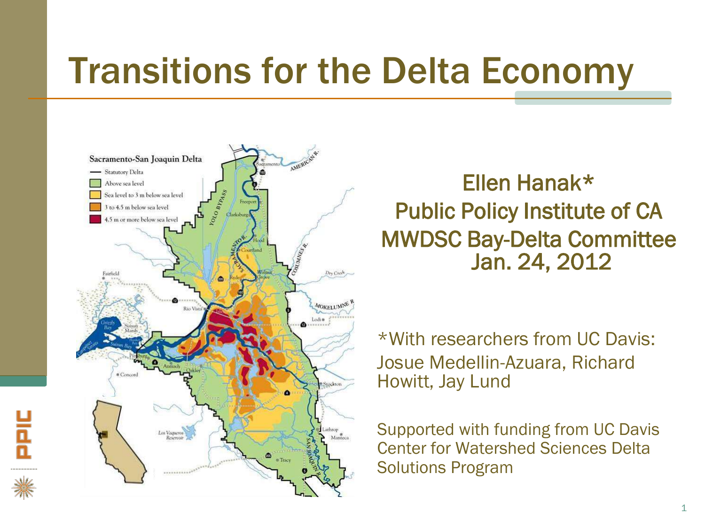#### Transitions for the Delta Economy



뷴

Ellen Hanak\* Public Policy Institute of CA MWDSC Bay-Delta Committee Jan. 24, 2012

\*With researchers from UC Davis: Josue Medellin-Azuara, Richard Howitt, Jay Lund

Supported with funding from UC Davis Center for Watershed Sciences Delta Solutions Program

1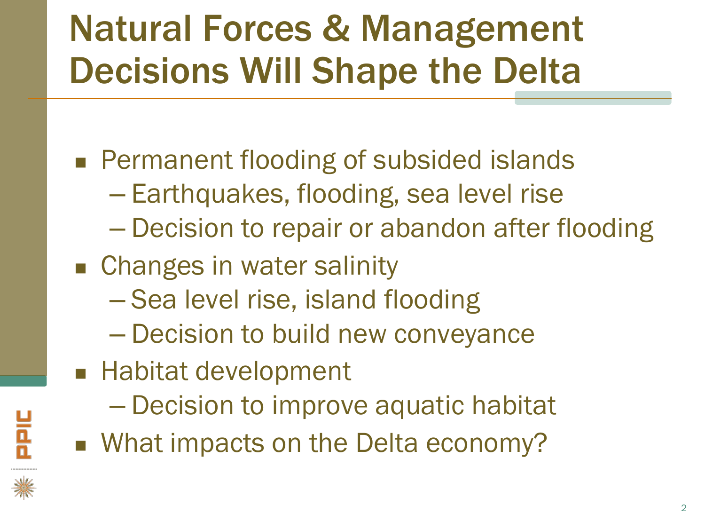# Natural Forces & Management Decisions Will Shape the Delta

- **Permanent flooding of subsided islands** 
	- Earthquakes, flooding, sea level rise
	- Decision to repair or abandon after flooding
- Changes in water salinity
	- Sea level rise, island flooding
	- Decision to build new conveyance
- Habitat development
	- Decision to improve aquatic habitat
- **Nome What impacts on the Delta economy?**



**PHE**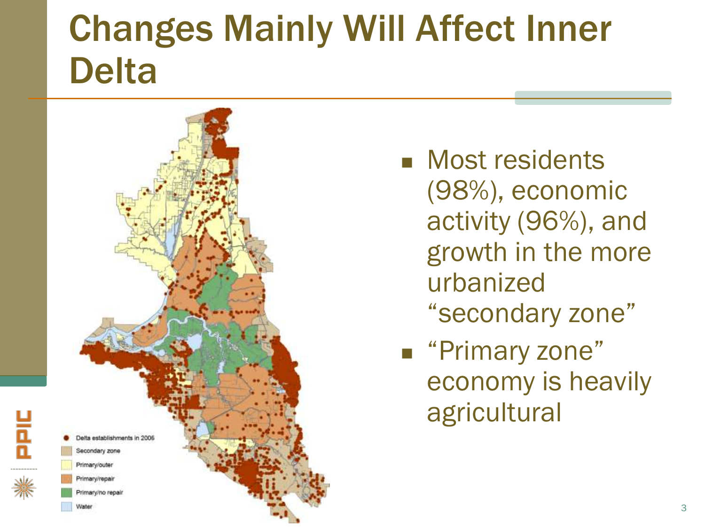#### Changes Mainly Will Affect Inner Delta



PIC

- **Nost residents** (98%), economic activity (96%), and growth in the more urbanized "secondary zone"
- "Primary zone" economy is heavily agricultural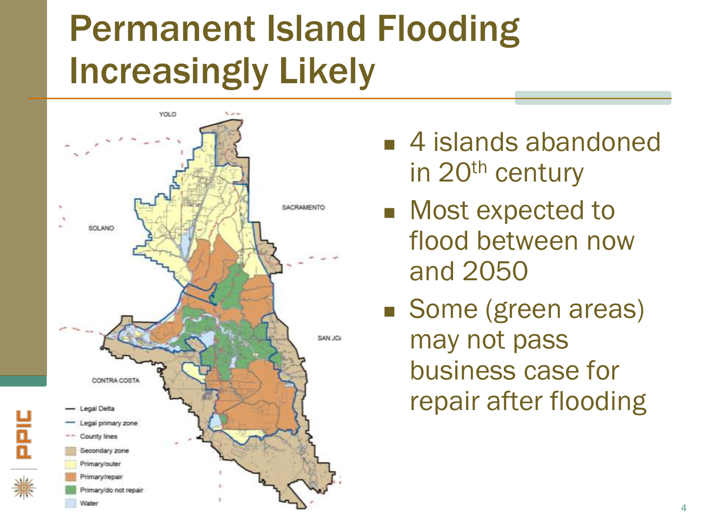## Permanent Island Flooding Increasingly Likely



- 4 islands abandoned in 20<sup>th</sup> century
- **Most expected to** flood between now and 2050
- Some (green areas) may not pass business case for repair after flooding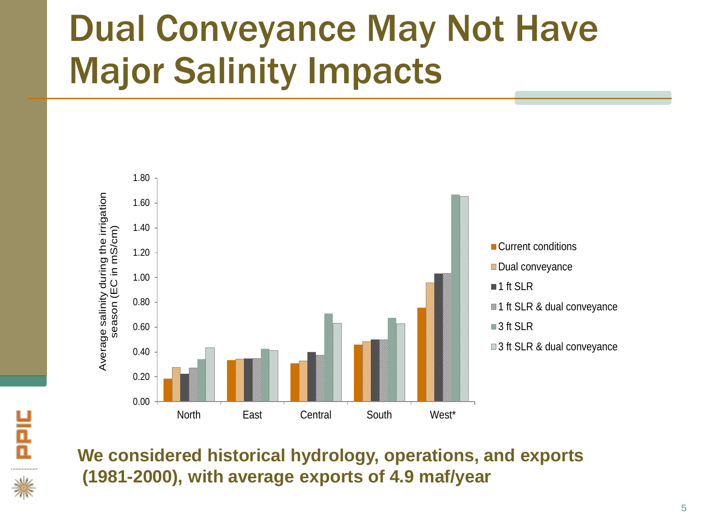# Dual Conveyance May Not Have Major Salinity Impacts





**We considered historical hydrology, operations, and exports (1981-2000), with average exports of 4.9 maf/year**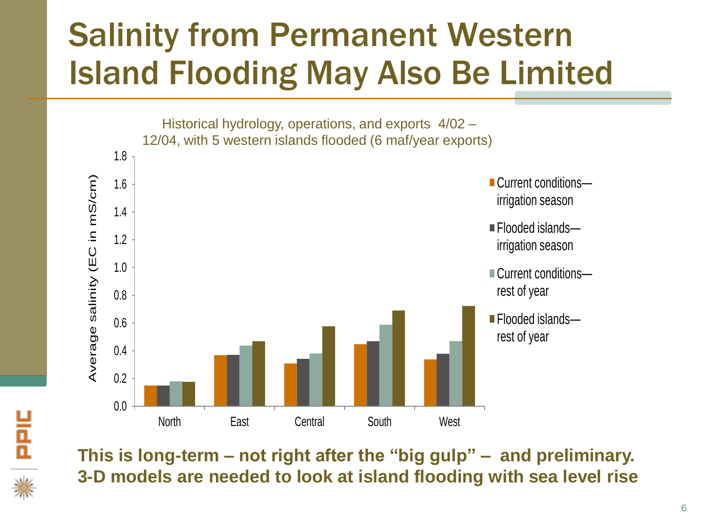#### Salinity from Permanent Western Island Flooding May Also Be Limited

Historical hydrology, operations, and exports 4/02 – 12/04, with 5 western islands flooded (6 maf/year exports)



**This is long-term – not right after the "big gulp" – and preliminary. 3-D models are needed to look at island flooding with sea level rise**

PPIC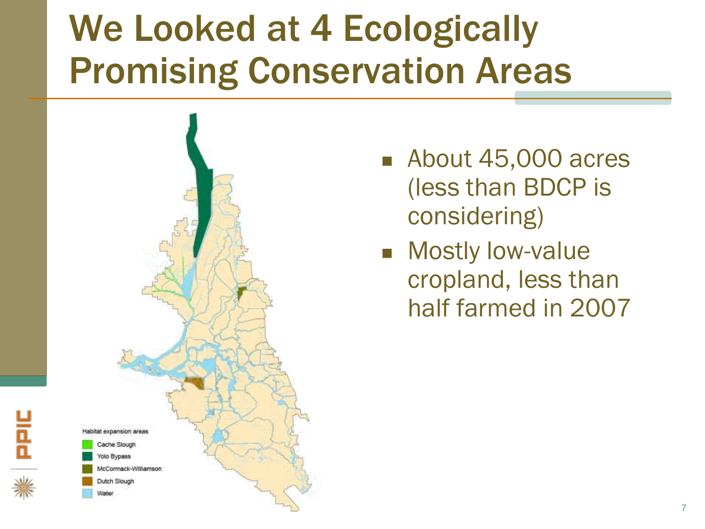### We Looked at 4 Ecologically Promising Conservation Areas



**PHE** 

- About 45,000 acres (less than BDCP is considering)
- **Mostly low-value** cropland, less than half farmed in 2007

7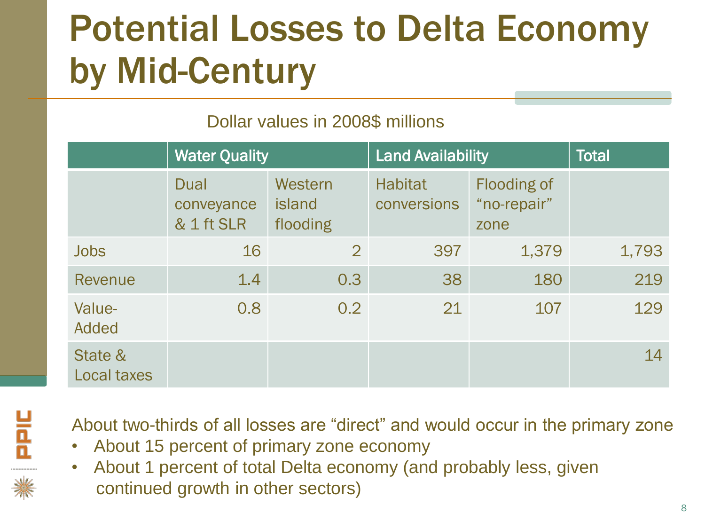# Potential Losses to Delta Economy by Mid-Century

#### Dollar values in 2008\$ millions

|                               | <b>Water Quality</b>                    |                               | <b>Land Availability</b>      |                                           | <b>Total</b> |
|-------------------------------|-----------------------------------------|-------------------------------|-------------------------------|-------------------------------------------|--------------|
|                               | <b>Dual</b><br>conveyance<br>& 1 ft SLR | Western<br>island<br>flooding | <b>Habitat</b><br>conversions | <b>Flooding of</b><br>"no-repair"<br>zone |              |
| <b>Jobs</b>                   | 16                                      | $\overline{2}$                | 397                           | 1,379                                     | 1,793        |
| <b>Revenue</b>                | 1.4                                     | 0.3                           | 38                            | 180                                       | 219          |
| Value-<br>Added               | 0.8                                     | 0.2                           | 21                            | 107                                       | 129          |
| State &<br><b>Local taxes</b> |                                         |                               |                               |                                           | 14           |



About two-thirds of all losses are "direct" and would occur in the primary zone

- About 15 percent of primary zone economy
- About 1 percent of total Delta economy (and probably less, given continued growth in other sectors)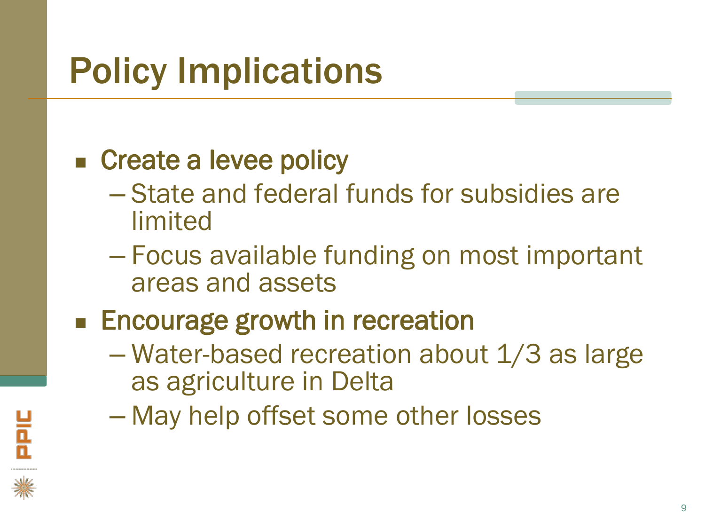# Policy Implications

#### ■ Create a levee policy

- State and federal funds for subsidies are limited
- Focus available funding on most important areas and assets
- **Encourage growth in recreation** 
	- Water-based recreation about 1/3 as large as agriculture in Delta
	- May help offset some other losses

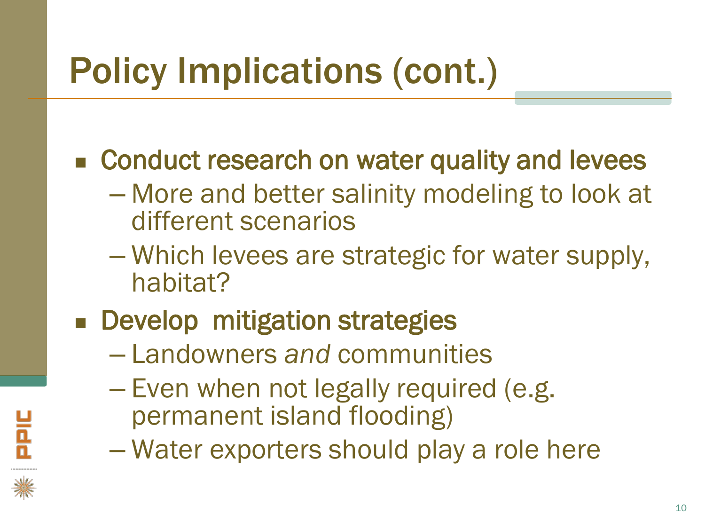# Policy Implications (cont.)

■ Conduct research on water quality and levees

- More and better salinity modeling to look at different scenarios
- Which levees are strategic for water supply, habitat?
- **Develop mitigation strategies** 
	- Landowners *and* communities
	- Even when not legally required (e.g. permanent island flooding)
	- Water exporters should play a role here

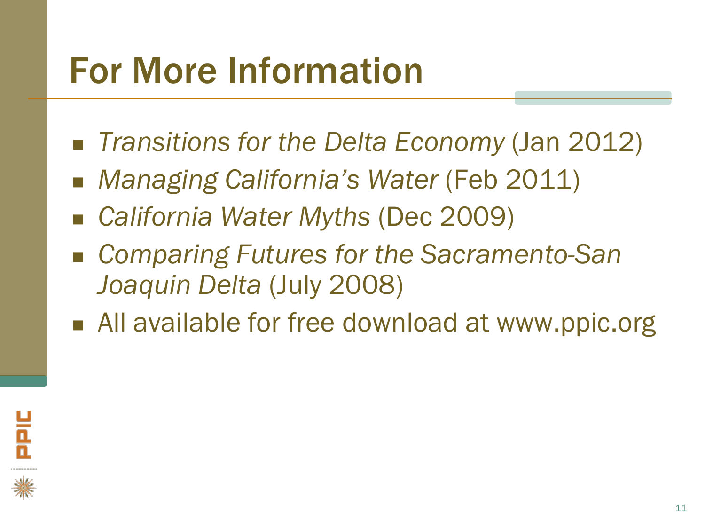#### For More Information

- *Transitions for the Delta Economy* (Jan 2012)
- *Managing California's Water* (Feb 2011)
- *California Water Myths* (Dec 2009)
- *Comparing Futures for the Sacramento-San Joaquin Delta* (July 2008)
- All available for free download at www.ppic.org